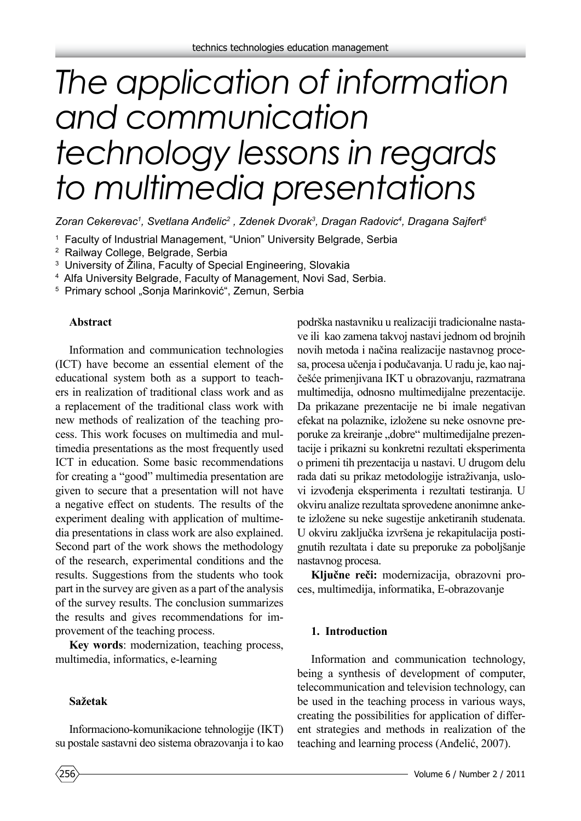# *The application of information and communication technology lessons in regards to multimedia presentations*

*Zoran Cekerevac1 , Svetlana Anđelic<sup>2</sup> , Zdenek Dvorak3 , Dragan Radovic4 , Dragana Sajfert5*

- 1 Faculty of Industrial Management, "Union" University Belgrade, Serbia
- 2 Railway College, Belgrade, Serbia
- 3 University of Žilina, Faculty of Special Engineering, Slovakia
- 4 Alfa University Belgrade, Faculty of Management, Novi Sad, Serbia.
- <sup>5</sup> Primary school "Sonja Marinković", Zemun, Serbia

#### **Abstract**

Information and communication technologies (ICT) have become an essential element of the educational system both as a support to teachers in realization of traditional class work and as a replacement of the traditional class work with new methods of realization of the teaching process. This work focuses on multimedia and multimedia presentations as the most frequently used ICT in education. Some basic recommendations for creating a "good" multimedia presentation are given to secure that a presentation will not have a negative effect on students. The results of the experiment dealing with application of multimedia presentations in class work are also explained. Second part of the work shows the methodology of the research, experimental conditions and the results. Suggestions from the students who took part in the survey are given as a part of the analysis of the survey results. The conclusion summarizes the results and gives recommendations for improvement of the teaching process.

**Key words**: modernization, teaching process, multimedia, informatics, e-learning

#### **Sažetak**

Informaciono-komunikacione tehnologije (IKT) su postale sastavni deo sistema obrazovanja i to kao podrška nastavniku u realizaciji tradicionalne nastave ili kao zamena takvoj nastavi jednom od brojnih novih metoda i načina realizacije nastavnog procesa, procesa učenja i podučavanja. U radu je, kao najčešće primenjivana IKT u obrazovanju, razmatrana multimedija, odnosno multimedijalne prezentacije. Da prikazane prezentacije ne bi imale negativan efekat na polaznike, izložene su neke osnovne preporuke za kreiranje "dobre" multimedijalne prezentacije i prikazni su konkretni rezultati eksperimenta o primeni tih prezentacija u nastavi. U drugom delu rada dati su prikaz metodologije istraživanja, uslovi izvođenja eksperimenta i rezultati testiranja. U okviru analize rezultata sprovedene anonimne ankete izložene su neke sugestije anketiranih studenata. U okviru zaključka izvršena je rekapitulacija postignutih rezultata i date su preporuke za poboljšanje nastavnog procesa.

**Ključne reči:** modernizacija, obrazovni proces, multimedija, informatika, E-obrazovanje

#### **1. Introduction**

Information and communication technology, being a synthesis of development of computer, telecommunication and television technology, can be used in the teaching process in various ways, creating the possibilities for application of different strategies and methods in realization of the teaching and learning process (Anđelić, 2007).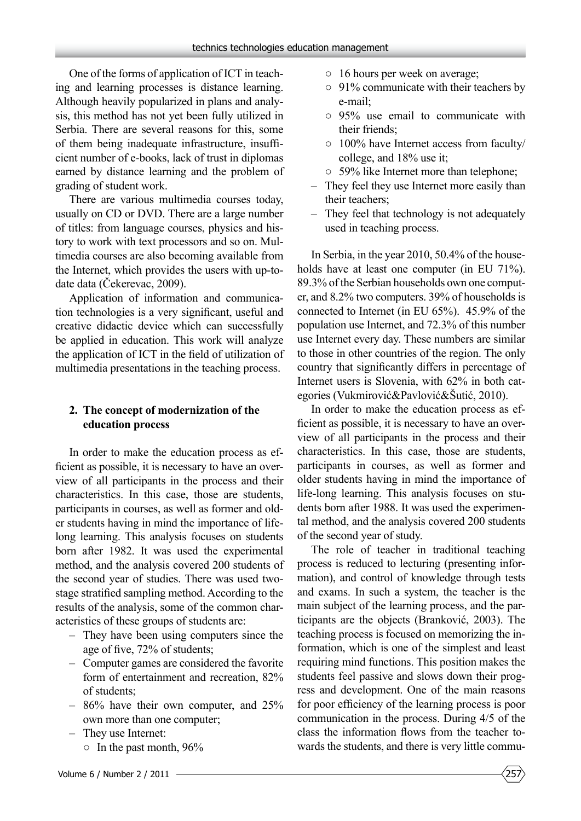One of the forms of application of ICT in teaching and learning processes is distance learning. Although heavily popularized in plans and analysis, this method has not yet been fully utilized in Serbia. There are several reasons for this, some of them being inadequate infrastructure, insufficient number of e-books, lack of trust in diplomas earned by distance learning and the problem of grading of student work.

There are various multimedia courses today, usually on CD or DVD. There are a large number of titles: from language courses, physics and history to work with text processors and so on. Multimedia courses are also becoming available from the Internet, which provides the users with up-todate data (Čekerevac, 2009).

Application of information and communication technologies is a very significant, useful and creative didactic device which can successfully be applied in education. This work will analyze the application of ICT in the field of utilization of multimedia presentations in the teaching process.

#### **2. The concept of modernization of the education process**

In order to make the education process as efficient as possible, it is necessary to have an overview of all participants in the process and their characteristics. In this case, those are students, participants in courses, as well as former and older students having in mind the importance of lifelong learning. This analysis focuses on students born after 1982. It was used the experimental method, and the analysis covered 200 students of the second year of studies. There was used twostage stratified sampling method. According to the results of the analysis, some of the common characteristics of these groups of students are:

- They have been using computers since the age of five, 72% of students;
- Computer games are considered the favorite form of entertainment and recreation, 82% of students;
- 86% have their own computer, and 25% own more than one computer;
- They use Internet:
	- $\circ$  In the past month, 96%
- Volume 6 / Number 2 / 2011
- 16 hours per week on average;
- 91% communicate with their teachers by e-mail;
- 95% use email to communicate with their friends;
- 100% have Internet access from faculty/ college, and 18% use it;
- 59% like Internet more than telephone;
- They feel they use Internet more easily than their teachers;
- They feel that technology is not adequately used in teaching process.

In Serbia, in the year 2010, 50.4% of the households have at least one computer (in EU 71%). 89.3% of the Serbian households own one computer, and 8.2% two computers. 39% of households is connected to Internet (in EU 65%). 45.9% of the population use Internet, and 72.3% of this number use Internet every day. These numbers are similar to those in other countries of the region. The only country that significantly differs in percentage of Internet users is Slovenia, with 62% in both categories (Vukmirović&Pavlović&Šutić, 2010).

In order to make the education process as efficient as possible, it is necessary to have an overview of all participants in the process and their characteristics. In this case, those are students, participants in courses, as well as former and older students having in mind the importance of life-long learning. This analysis focuses on students born after 1988. It was used the experimental method, and the analysis covered 200 students of the second year of study.

The role of teacher in traditional teaching process is reduced to lecturing (presenting information), and control of knowledge through tests and exams. In such a system, the teacher is the main subject of the learning process, and the participants are the objects (Branković, 2003). The teaching process is focused on memorizing the information, which is one of the simplest and least requiring mind functions. This position makes the students feel passive and slows down their progress and development. One of the main reasons for poor efficiency of the learning process is poor communication in the process. During 4/5 of the class the information flows from the teacher towards the students, and there is very little commu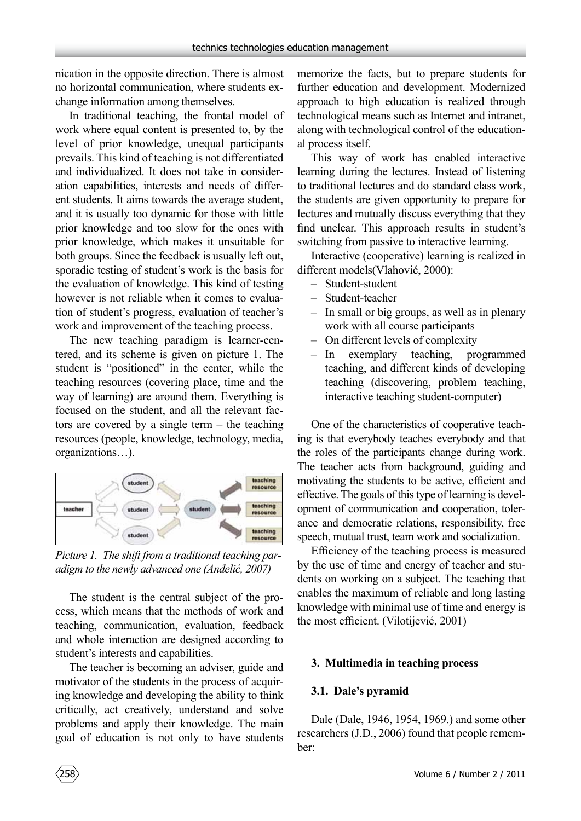nication in the opposite direction. There is almost no horizontal communication, where students exchange information among themselves.

In traditional teaching, the frontal model of work where equal content is presented to, by the level of prior knowledge, unequal participants prevails. This kind of teaching is not differentiated and individualized. It does not take in consideration capabilities, interests and needs of different students. It aims towards the average student, and it is usually too dynamic for those with little prior knowledge and too slow for the ones with prior knowledge, which makes it unsuitable for both groups. Since the feedback is usually left out, sporadic testing of student's work is the basis for the evaluation of knowledge. This kind of testing however is not reliable when it comes to evaluation of student's progress, evaluation of teacher's work and improvement of the teaching process.

The new teaching paradigm is learner-centered, and its scheme is given on picture 1. The student is "positioned" in the center, while the teaching resources (covering place, time and the way of learning) are around them. Everything is focused on the student, and all the relevant factors are covered by a single term – the teaching resources (people, knowledge, technology, media, organizations…).



*Picture 1. The shift from a traditional teaching paradigm to the newly advanced one (Anđelić, 2007)*

The student is the central subject of the process, which means that the methods of work and teaching, communication, evaluation, feedback and whole interaction are designed according to student's interests and capabilities.

The teacher is becoming an adviser, guide and motivator of the students in the process of acquiring knowledge and developing the ability to think critically, act creatively, understand and solve problems and apply their knowledge. The main goal of education is not only to have students memorize the facts, but to prepare students for further education and development. Modernized approach to high education is realized through technological means such as Internet and intranet, along with technological control of the educational process itself.

This way of work has enabled interactive learning during the lectures. Instead of listening to traditional lectures and do standard class work, the students are given opportunity to prepare for lectures and mutually discuss everything that they find unclear. This approach results in student's switching from passive to interactive learning.

Interactive (cooperative) learning is realized in different models(Vlahović, 2000):

- Student-student
- Student-teacher
- In small or big groups, as well as in plenary work with all course participants
- On different levels of complexity
- In exemplary teaching, programmed teaching, and different kinds of developing teaching (discovering, problem teaching, interactive teaching student-computer)

One of the characteristics of cooperative teaching is that everybody teaches everybody and that the roles of the participants change during work. The teacher acts from background, guiding and motivating the students to be active, efficient and effective. The goals of this type of learning is development of communication and cooperation, tolerance and democratic relations, responsibility, free speech, mutual trust, team work and socialization.

Efficiency of the teaching process is measured by the use of time and energy of teacher and students on working on a subject. The teaching that enables the maximum of reliable and long lasting knowledge with minimal use of time and energy is the most efficient. (Vilotijević, 2001)

# **3. Multimedia in teaching process**

# **3.1. Dale's pyramid**

Dale (Dale, 1946, 1954, 1969.) and some other researchers (J.D., 2006) found that people remember: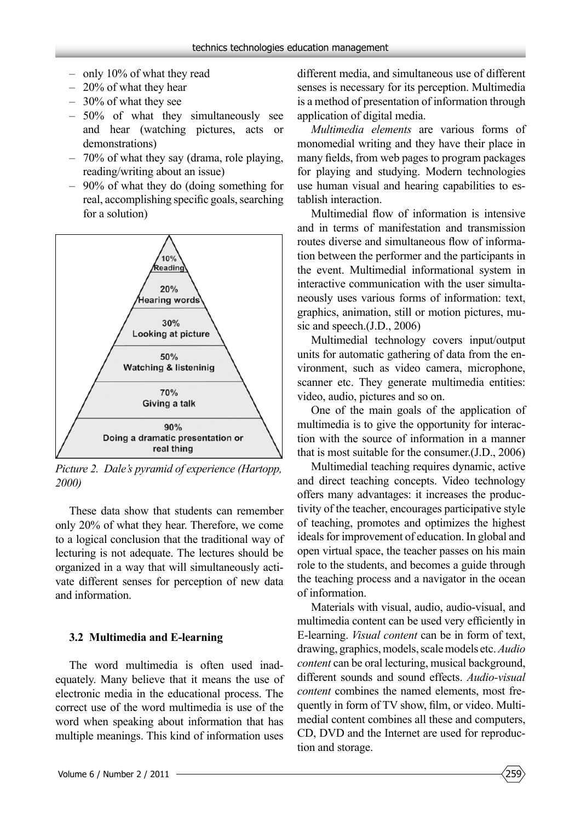- only 10% of what they read
- 20% of what they hear
- 30% of what they see
- 50% of what they simultaneously see and hear (watching pictures, acts or demonstrations)
- 70% of what they say (drama, role playing, reading/writing about an issue)
- 90% of what they do (doing something for real, accomplishing specific goals, searching for a solution)



*Picture 2. Dale's pyramid of experience (Hartopp, 2000)*

These data show that students can remember only 20% of what they hear. Therefore, we come to a logical conclusion that the traditional way of lecturing is not adequate. The lectures should be organized in a way that will simultaneously activate different senses for perception of new data and information.

#### **3.2 Multimedia and E-learning**

The word multimedia is often used inadequately. Many believe that it means the use of electronic media in the educational process. The correct use of the word multimedia is use of the word when speaking about information that has multiple meanings. This kind of information uses

different media, and simultaneous use of different senses is necessary for its perception. Multimedia is a method of presentation of information through application of digital media.

*Multimedia elements* are various forms of monomedial writing and they have their place in many fields, from web pages to program packages for playing and studying. Modern technologies use human visual and hearing capabilities to establish interaction.

Multimedial flow of information is intensive and in terms of manifestation and transmission routes diverse and simultaneous flow of information between the performer and the participants in the event. Multimedial informational system in interactive communication with the user simultaneously uses various forms of information: text, graphics, animation, still or motion pictures, music and speech.(J.D., 2006)

Multimedial technology covers input/output units for automatic gathering of data from the environment, such as video camera, microphone, scanner etc. They generate multimedia entities: video, audio, pictures and so on.

One of the main goals of the application of multimedia is to give the opportunity for interaction with the source of information in a manner that is most suitable for the consumer.(J.D., 2006)

Multimedial teaching requires dynamic, active and direct teaching concepts. Video technology offers many advantages: it increases the productivity of the teacher, encourages participative style of teaching, promotes and optimizes the highest ideals for improvement of education. In global and open virtual space, the teacher passes on his main role to the students, and becomes a guide through the teaching process and a navigator in the ocean of information.

Materials with visual, audio, audio-visual, and multimedia content can be used very efficiently in E-learning. *Visual content* can be in form of text, drawing, graphics, models, scale models etc. *Audio content* can be oral lecturing, musical background, different sounds and sound effects. *Audio-visual content* combines the named elements, most frequently in form of TV show, film, or video. Multimedial content combines all these and computers, CD, DVD and the Internet are used for reproduction and storage.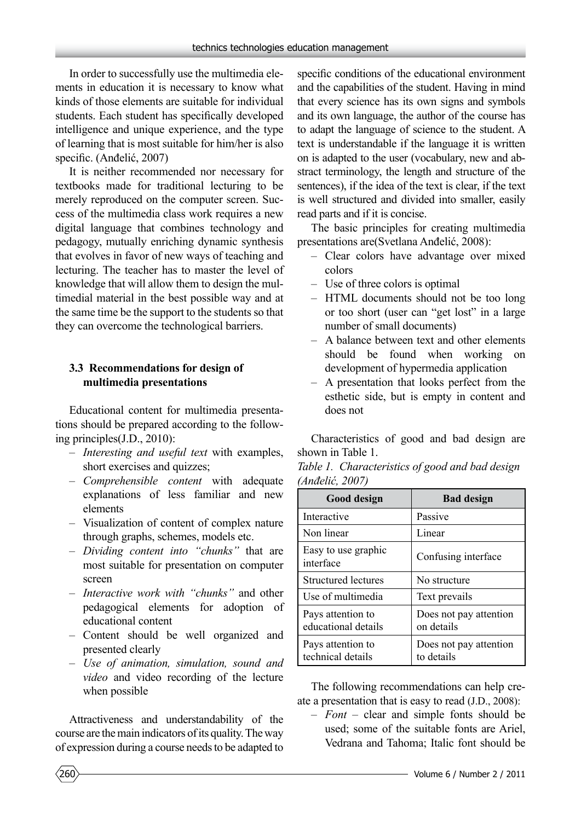In order to successfully use the multimedia elements in education it is necessary to know what kinds of those elements are suitable for individual students. Each student has specifically developed intelligence and unique experience, and the type of learning that is most suitable for him/her is also specific. (Anđelić, 2007)

It is neither recommended nor necessary for textbooks made for traditional lecturing to be merely reproduced on the computer screen. Success of the multimedia class work requires a new digital language that combines technology and pedagogy, mutually enriching dynamic synthesis that evolves in favor of new ways of teaching and lecturing. The teacher has to master the level of knowledge that will allow them to design the multimedial material in the best possible way and at the same time be the support to the students so that they can overcome the technological barriers.

#### **3.3 Recommendations for design of multimedia presentations**

Educational content for multimedia presentations should be prepared according to the following principles(J.D., 2010):

- *Interesting and useful text* with examples, short exercises and quizzes;
- *Comprehensible content* with adequate explanations of less familiar and new elements
- Visualization of content of complex nature through graphs, schemes, models etc.
- *Dividing content into "chunks"* that are most suitable for presentation on computer screen
- *Interactive work with "chunks"* and other pedagogical elements for adoption of educational content
- Content should be well organized and presented clearly
- *Use of animation, simulation, sound and video* and video recording of the lecture when possible

Attractiveness and understandability of the course are the main indicators of its quality. The way of expression during a course needs to be adapted to

specific conditions of the educational environment and the capabilities of the student. Having in mind that every science has its own signs and symbols and its own language, the author of the course has to adapt the language of science to the student. A text is understandable if the language it is written on is adapted to the user (vocabulary, new and abstract terminology, the length and structure of the sentences), if the idea of the text is clear, if the text is well structured and divided into smaller, easily read parts and if it is concise.

The basic principles for creating multimedia presentations are(Svetlana Anđelić, 2008):

- Clear colors have advantage over mixed colors
- Use of three colors is optimal
- HTML documents should not be too long or too short (user can "get lost" in a large number of small documents)
- A balance between text and other elements should be found when working on development of hypermedia application
- A presentation that looks perfect from the esthetic side, but is empty in content and does not

Characteristics of good and bad design are shown in Table 1.

|                               | Table 1. Characteristics of good and bad design |
|-------------------------------|-------------------------------------------------|
| $(An\ddot{\theta}elic, 2007)$ |                                                 |

| <b>Good design</b>                       | <b>Bad design</b>                    |  |
|------------------------------------------|--------------------------------------|--|
| Interactive                              | Passive                              |  |
| Non linear                               | Linear                               |  |
| Easy to use graphic<br>interface         | Confusing interface                  |  |
| <b>Structured lectures</b>               | No structure                         |  |
| Use of multimedia                        | Text prevails                        |  |
| Pays attention to<br>educational details | Does not pay attention<br>on details |  |
| Pays attention to<br>technical details   | Does not pay attention<br>to details |  |

The following recommendations can help create a presentation that is easy to read (J.D., 2008):

– *Font* – clear and simple fonts should be used; some of the suitable fonts are Ariel, Vedrana and Tahoma; Italic font should be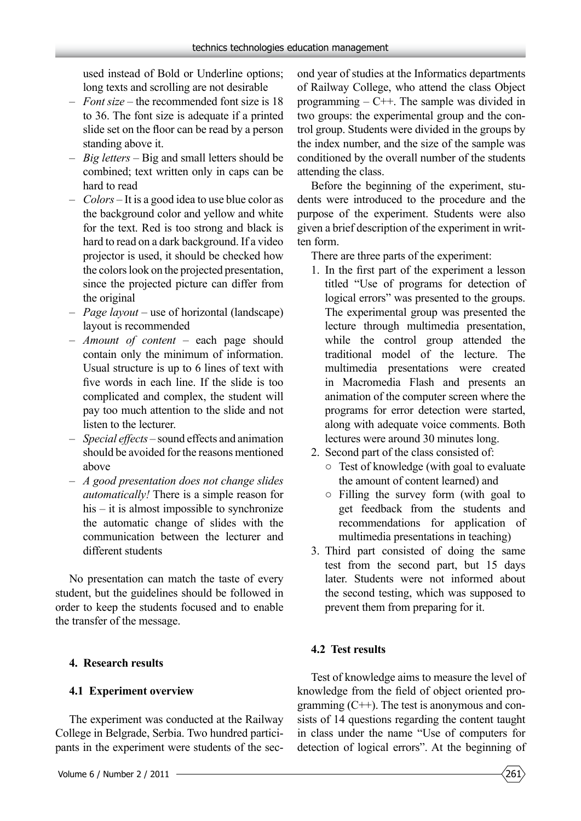used instead of Bold or Underline options; long texts and scrolling are not desirable

- *Font size* the recommended font size is 18 to 36. The font size is adequate if a printed slide set on the floor can be read by a person standing above it.
- *Big letters* Big and small letters should be combined; text written only in caps can be hard to read
- *Colors* It is a good idea to use blue color as the background color and yellow and white for the text. Red is too strong and black is hard to read on a dark background. If a video projector is used, it should be checked how the colors look on the projected presentation, since the projected picture can differ from the original
- *Page layout* use of horizontal (landscape) layout is recommended
- *Amount of content –* each page should contain only the minimum of information. Usual structure is up to 6 lines of text with five words in each line. If the slide is too complicated and complex, the student will pay too much attention to the slide and not listen to the lecturer.
- *Special effects –* sound effects and animation should be avoided for the reasons mentioned above
- *A good presentation does not change slides automatically!* There is a simple reason for his – it is almost impossible to synchronize the automatic change of slides with the communication between the lecturer and different students

No presentation can match the taste of every student, but the guidelines should be followed in order to keep the students focused and to enable the transfer of the message.

## **4. Research results**

## **4.1 Experiment overview**

The experiment was conducted at the Railway College in Belgrade, Serbia. Two hundred participants in the experiment were students of the second year of studies at the Informatics departments of Railway College, who attend the class Object programming  $-$  C++. The sample was divided in two groups: the experimental group and the control group. Students were divided in the groups by the index number, and the size of the sample was conditioned by the overall number of the students attending the class.

Before the beginning of the experiment, students were introduced to the procedure and the purpose of the experiment. Students were also given a brief description of the experiment in written form.

There are three parts of the experiment:

- 1. In the first part of the experiment a lesson titled "Use of programs for detection of logical errors" was presented to the groups. The experimental group was presented the lecture through multimedia presentation, while the control group attended the traditional model of the lecture. The multimedia presentations were created in Macromedia Flash and presents an animation of the computer screen where the programs for error detection were started, along with adequate voice comments. Both lectures were around 30 minutes long.
- 2. Second part of the class consisted of:
	- Test of knowledge (with goal to evaluate the amount of content learned) and
	- Filling the survey form (with goal to get feedback from the students and recommendations for application of multimedia presentations in teaching)
- 3. Third part consisted of doing the same test from the second part, but 15 days later. Students were not informed about the second testing, which was supposed to prevent them from preparing for it.

## **4.2 Test results**

Test of knowledge aims to measure the level of knowledge from the field of object oriented programming (C++). The test is anonymous and consists of 14 questions regarding the content taught in class under the name "Use of computers for detection of logical errors". At the beginning of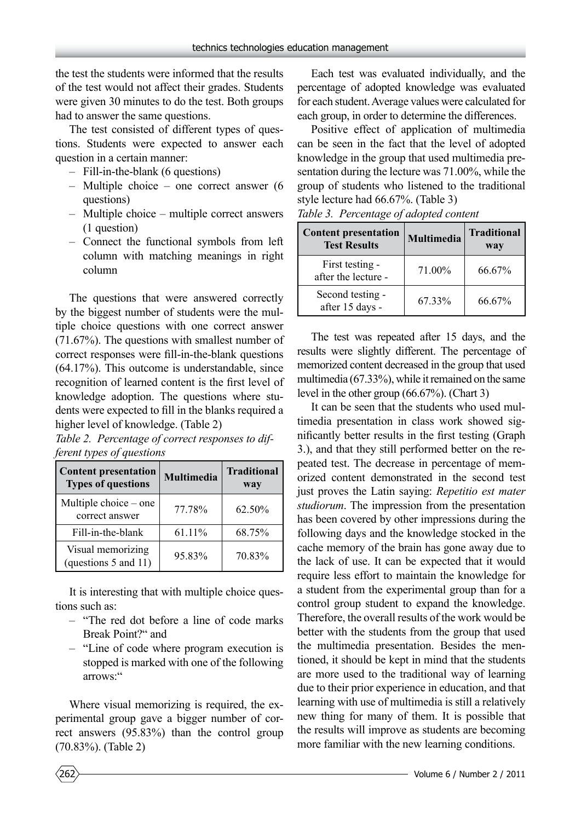the test the students were informed that the results of the test would not affect their grades. Students were given 30 minutes to do the test. Both groups had to answer the same questions.

The test consisted of different types of questions. Students were expected to answer each question in a certain manner:

- Fill-in-the-blank (6 questions)
- Multiple choice one correct answer (6 questions)
- Multiple choice multiple correct answers (1 question)
- Connect the functional symbols from left column with matching meanings in right column

The questions that were answered correctly by the biggest number of students were the multiple choice questions with one correct answer (71.67%). The questions with smallest number of correct responses were fill-in-the-blank questions (64.17%). This outcome is understandable, since recognition of learned content is the first level of knowledge adoption. The questions where students were expected to fill in the blanks required a higher level of knowledge. (Table 2)

*Table 2. Percentage of correct responses to different types of questions*

| <b>Content presentation</b><br><b>Types of questions</b> | Multimedia | <b>Traditional</b><br>way |
|----------------------------------------------------------|------------|---------------------------|
| Multiple choice – one<br>correct answer                  | 77.78%     | 62.50%                    |
| Fill-in-the-blank                                        | 61.11%     | 68.75%                    |
| Visual memorizing<br>(questions 5 and 11)                | 95.83%     | 70.83%                    |

It is interesting that with multiple choice questions such as:

- "The red dot before a line of code marks Break Point?" and
- "Line of code where program execution is stopped is marked with one of the following arrows:"

Where visual memorizing is required, the experimental group gave a bigger number of correct answers (95.83%) than the control group (70.83%). (Table 2)

Each test was evaluated individually, and the percentage of adopted knowledge was evaluated for each student. Average values were calculated for each group, in order to determine the differences.

Positive effect of application of multimedia can be seen in the fact that the level of adopted knowledge in the group that used multimedia presentation during the lecture was 71.00%, while the group of students who listened to the traditional style lecture had 66.67%. (Table 3)

**Content presentation** Multimedia Traditional Test Results **way** First testing after the lecture -  $\begin{vmatrix} 71.00\% \\ 21.00\% \end{vmatrix}$  66.67% Second testing after 15 days -  $\begin{vmatrix} 67.33\% & 66.67\% \end{vmatrix}$ 

*Table 3. Percentage of adopted content*

The test was repeated after 15 days, and the results were slightly different. The percentage of memorized content decreased in the group that used multimedia (67.33%), while it remained on the same level in the other group (66.67%). (Chart 3)

It can be seen that the students who used multimedia presentation in class work showed significantly better results in the first testing (Graph 3.), and that they still performed better on the repeated test. The decrease in percentage of memorized content demonstrated in the second test just proves the Latin saying: *Repetitio est mater studiorum*. The impression from the presentation has been covered by other impressions during the following days and the knowledge stocked in the cache memory of the brain has gone away due to the lack of use. It can be expected that it would require less effort to maintain the knowledge for a student from the experimental group than for a control group student to expand the knowledge. Therefore, the overall results of the work would be better with the students from the group that used the multimedia presentation. Besides the mentioned, it should be kept in mind that the students are more used to the traditional way of learning due to their prior experience in education, and that learning with use of multimedia is still a relatively new thing for many of them. It is possible that the results will improve as students are becoming more familiar with the new learning conditions.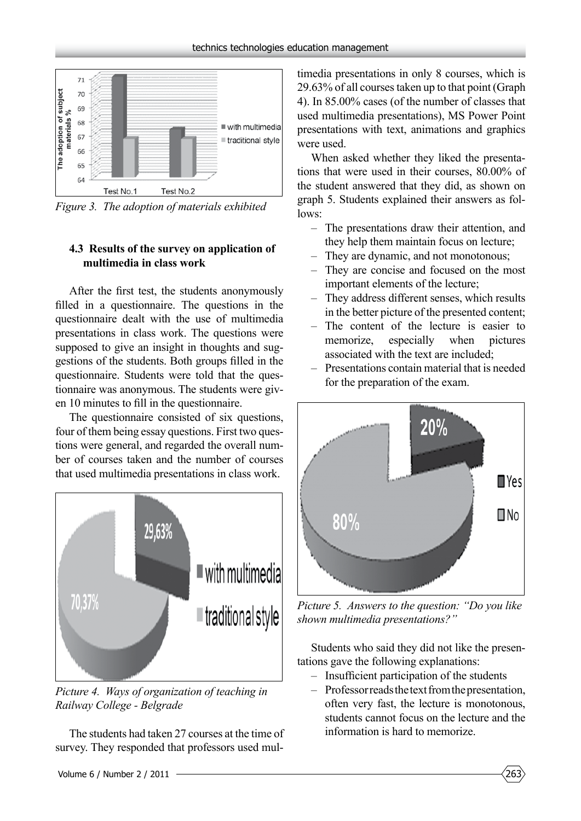

*Figure 3. The adoption of materials exhibited*

## **4.3 Results of the survey on application of multimedia in class work**

After the first test, the students anonymously filled in a questionnaire. The questions in the questionnaire dealt with the use of multimedia presentations in class work. The questions were supposed to give an insight in thoughts and suggestions of the students. Both groups filled in the questionnaire. Students were told that the questionnaire was anonymous. The students were given 10 minutes to fill in the questionnaire.

The questionnaire consisted of six questions, four of them being essay questions. First two questions were general, and regarded the overall number of courses taken and the number of courses that used multimedia presentations in class work.



*Picture 4. Ways of organization of teaching in Railway College - Belgrade*

The students had taken 27 courses at the time of survey. They responded that professors used mul-

timedia presentations in only 8 courses, which is 29.63% of all courses taken up to that point (Graph 4). In 85.00% cases (of the number of classes that used multimedia presentations), MS Power Point presentations with text, animations and graphics were used.

When asked whether they liked the presentations that were used in their courses, 80.00% of the student answered that they did, as shown on graph 5. Students explained their answers as follows:

- The presentations draw their attention, and they help them maintain focus on lecture;
- They are dynamic, and not monotonous;
- They are concise and focused on the most important elements of the lecture;
- They address different senses, which results in the better picture of the presented content;
- The content of the lecture is easier to memorize, especially when pictures associated with the text are included;
- Presentations contain material that is needed for the preparation of the exam.



*Picture 5. Answers to the question: "Do you like shown multimedia presentations?"*

Students who said they did not like the presentations gave the following explanations:

- Insufficient participation of the students
- Professor reads the text from the presentation, often very fast, the lecture is monotonous, students cannot focus on the lecture and the information is hard to memorize.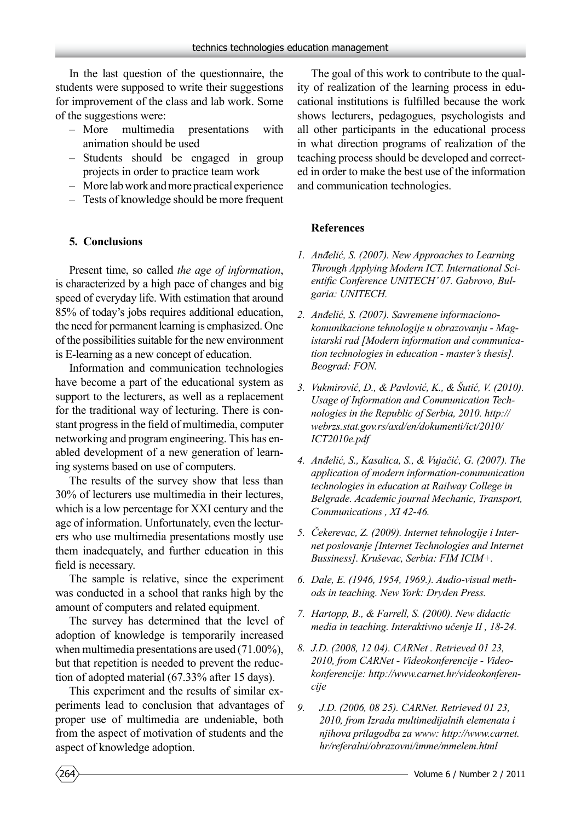In the last question of the questionnaire, the students were supposed to write their suggestions for improvement of the class and lab work. Some of the suggestions were:

- More multimedia presentations with animation should be used
- Students should be engaged in group projects in order to practice team work
- More lab work and more practical experience
- Tests of knowledge should be more frequent

#### **5. Conclusions**

Present time, so called *the age of information*, is characterized by a high pace of changes and big speed of everyday life. With estimation that around 85% of today's jobs requires additional education, the need for permanent learning is emphasized. One of the possibilities suitable for the new environment is E-learning as a new concept of education.

Information and communication technologies have become a part of the educational system as support to the lecturers, as well as a replacement for the traditional way of lecturing. There is constant progress in the field of multimedia, computer networking and program engineering. This has enabled development of a new generation of learning systems based on use of computers.

The results of the survey show that less than 30% of lecturers use multimedia in their lectures, which is a low percentage for XXI century and the age of information. Unfortunately, even the lecturers who use multimedia presentations mostly use them inadequately, and further education in this field is necessary.

The sample is relative, since the experiment was conducted in a school that ranks high by the amount of computers and related equipment.

The survey has determined that the level of adoption of knowledge is temporarily increased when multimedia presentations are used (71.00%), but that repetition is needed to prevent the reduction of adopted material (67.33% after 15 days).

This experiment and the results of similar experiments lead to conclusion that advantages of proper use of multimedia are undeniable, both from the aspect of motivation of students and the aspect of knowledge adoption.

The goal of this work to contribute to the quality of realization of the learning process in educational institutions is fulfilled because the work shows lecturers, pedagogues, psychologists and all other participants in the educational process in what direction programs of realization of the teaching process should be developed and corrected in order to make the best use of the information and communication technologies.

#### **References**

- *1. Anđelić, S. (2007). New Approaches to Learning Through Applying Modern ICT. International Scientific Conference UNITECH' 07. Gabrovo, Bulgaria: UNITECH.*
- *2. Anđelić, S. (2007). Savremene informacionokomunikacione tehnologije u obrazovanju - Magistarski rad [Modern information and communication technologies in education - master's thesis]. Beograd: FON.*
- *3. Vukmirović, D., & Pavlović, K., & Šutić, V. (2010). Usage of Information and Communication Technologies in the Republic of Serbia, 2010. http:// webrzs.stat.gov.rs/axd/en/dokumenti/ict/2010/ ICT2010e.pdf*
- *4. Anđelić, S., Kasalica, S., & Vujačić, G. (2007). The application of modern information-communication technologies in education at Railway College in Belgrade. Academic journal Mechanic, Transport, Communications , XI 42-46.*
- *5. Čekerevac, Z. (2009). Internet tehnologije i Internet poslovanje [Internet Technologies and Internet Bussiness]. Kruševac, Serbia: FIM ICIM+.*
- *6. Dale, E. (1946, 1954, 1969.). Audio-visual methods in teaching. New York: Dryden Press.*
- *7. Hartopp, B., & Farrell, S. (2000). New didactic media in teaching. Interaktivno učenje II , 18-24.*
- *8. J.D. (2008, 12 04). CARNet . Retrieved 01 23, 2010, from CARNet - Videokonferencije - Videokonferencije: http://www.carnet.hr/videokonferencije*
- *9. J.D. (2006, 08 25). CARNet. Retrieved 01 23, 2010, from Izrada multimedijalnih elemenata i njihova prilagodba za www: http://www.carnet. hr/referalni/obrazovni/imme/mmelem.html*